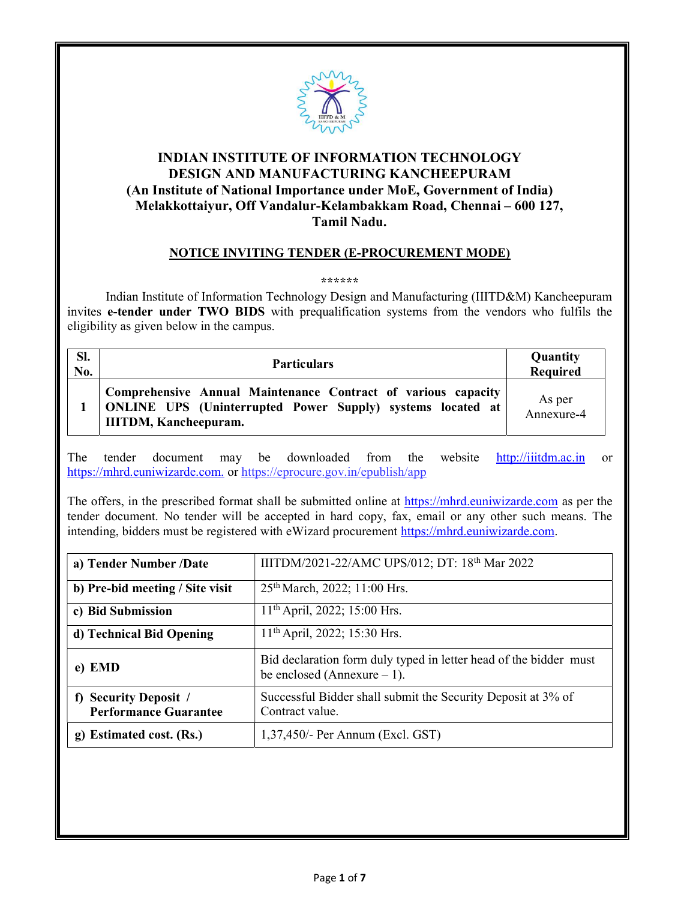

## INDIAN INSTITUTE OF INFORMATION TECHNOLOGY DESIGN AND MANUFACTURING KANCHEEPURAM (An Institute of National Importance under MoE, Government of India) Melakkottaiyur, Off Vandalur-Kelambakkam Road, Chennai – 600 127, Tamil Nadu.

### NOTICE INVITING TENDER (E-PROCUREMENT MODE)

#### \*\*\*\*\*\*

 Indian Institute of Information Technology Design and Manufacturing (IIITD&M) Kancheepuram invites e-tender under TWO BIDS with prequalification systems from the vendors who fulfils the eligibility as given below in the campus.

| SI.<br>No. | <b>Particulars</b>                                                                                                                                                 | Quantity<br>Required |
|------------|--------------------------------------------------------------------------------------------------------------------------------------------------------------------|----------------------|
|            | Comprehensive Annual Maintenance Contract of various capacity<br><b>ONLINE UPS</b> (Uninterrupted Power Supply) systems located at<br><b>IIITDM, Kancheepuram.</b> | As per<br>Annexure-4 |

The tender document may be downloaded from the website http://iiitdm.ac.in or https://mhrd.euniwizarde.com. or https://eprocure.gov.in/epublish/app

The offers, in the prescribed format shall be submitted online at https://mhrd.euniwizarde.com as per the tender document. No tender will be accepted in hard copy, fax, email or any other such means. The intending, bidders must be registered with eWizard procurement https://mhrd.euniwizarde.com.

| a) Tender Number /Date                                          | IIITDM/2021-22/AMC UPS/012; DT: 18th Mar 2022                                                      |
|-----------------------------------------------------------------|----------------------------------------------------------------------------------------------------|
| b) Pre-bid meeting / Site visit                                 | 25 <sup>th</sup> March, 2022; 11:00 Hrs.                                                           |
| c) Bid Submission                                               | 11 <sup>th</sup> April, 2022; 15:00 Hrs.                                                           |
| d) Technical Bid Opening                                        | $11th$ April, 2022; 15:30 Hrs.                                                                     |
| e) EMD                                                          | Bid declaration form duly typed in letter head of the bidder must<br>be enclosed (Annexure $-1$ ). |
| <b>Security Deposit /</b><br>f)<br><b>Performance Guarantee</b> | Successful Bidder shall submit the Security Deposit at 3% of<br>Contract value.                    |
| g) Estimated cost. (Rs.)                                        | $1,37,450$ /- Per Annum (Excl. GST)                                                                |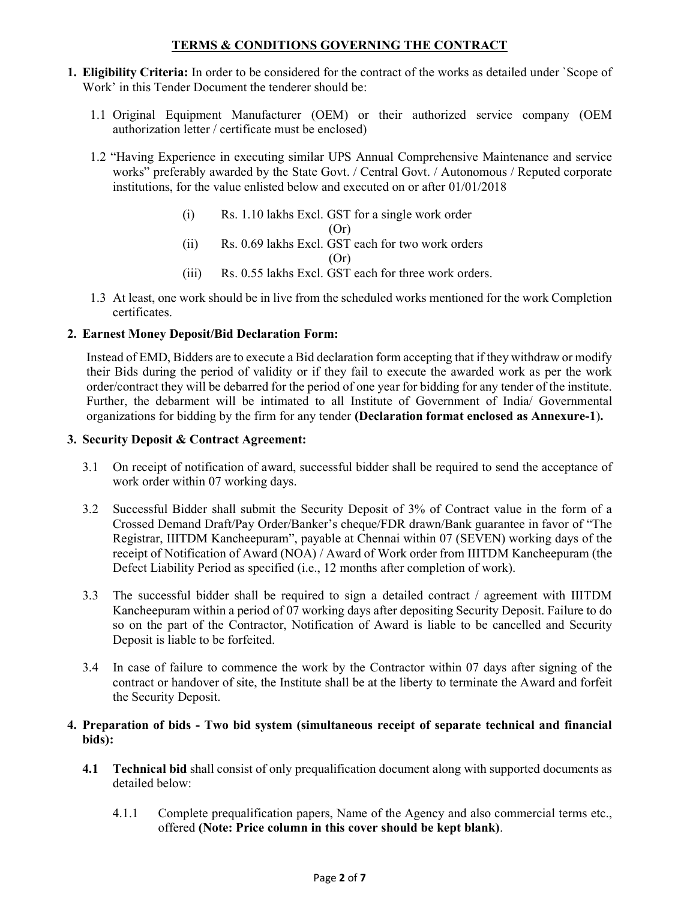### TERMS & CONDITIONS GOVERNING THE CONTRACT

- 1. Eligibility Criteria: In order to be considered for the contract of the works as detailed under `Scope of Work' in this Tender Document the tenderer should be:
	- 1.1 Original Equipment Manufacturer (OEM) or their authorized service company (OEM authorization letter / certificate must be enclosed)
	- 1.2 "Having Experience in executing similar UPS Annual Comprehensive Maintenance and service works" preferably awarded by the State Govt. / Central Govt. / Autonomous / Reputed corporate institutions, for the value enlisted below and executed on or after 01/01/2018
		- (i) Rs. 1.10 lakhs Excl. GST for a single work order (Or)
		- (ii) Rs. 0.69 lakhs Excl. GST each for two work orders

(Or)

- (iii) Rs. 0.55 lakhs Excl. GST each for three work orders.
- 1.3 At least, one work should be in live from the scheduled works mentioned for the work Completion certificates.

### 2. Earnest Money Deposit/Bid Declaration Form:

Instead of EMD, Bidders are to execute a Bid declaration form accepting that if they withdraw or modify their Bids during the period of validity or if they fail to execute the awarded work as per the work order/contract they will be debarred for the period of one year for bidding for any tender of the institute. Further, the debarment will be intimated to all Institute of Government of India/ Governmental organizations for bidding by the firm for any tender (Declaration format enclosed as Annexure-1).

### 3. Security Deposit & Contract Agreement:

- 3.1 On receipt of notification of award, successful bidder shall be required to send the acceptance of work order within 07 working days.
- 3.2 Successful Bidder shall submit the Security Deposit of 3% of Contract value in the form of a Crossed Demand Draft/Pay Order/Banker's cheque/FDR drawn/Bank guarantee in favor of "The Registrar, IIITDM Kancheepuram", payable at Chennai within 07 (SEVEN) working days of the receipt of Notification of Award (NOA) / Award of Work order from IIITDM Kancheepuram (the Defect Liability Period as specified (i.e., 12 months after completion of work).
- 3.3 The successful bidder shall be required to sign a detailed contract / agreement with IIITDM Kancheepuram within a period of 07 working days after depositing Security Deposit. Failure to do so on the part of the Contractor, Notification of Award is liable to be cancelled and Security Deposit is liable to be forfeited.
- 3.4 In case of failure to commence the work by the Contractor within 07 days after signing of the contract or handover of site, the Institute shall be at the liberty to terminate the Award and forfeit the Security Deposit.

#### 4. Preparation of bids - Two bid system (simultaneous receipt of separate technical and financial bids):

- 4.1 Technical bid shall consist of only prequalification document along with supported documents as detailed below:
	- 4.1.1 Complete prequalification papers, Name of the Agency and also commercial terms etc., offered (Note: Price column in this cover should be kept blank).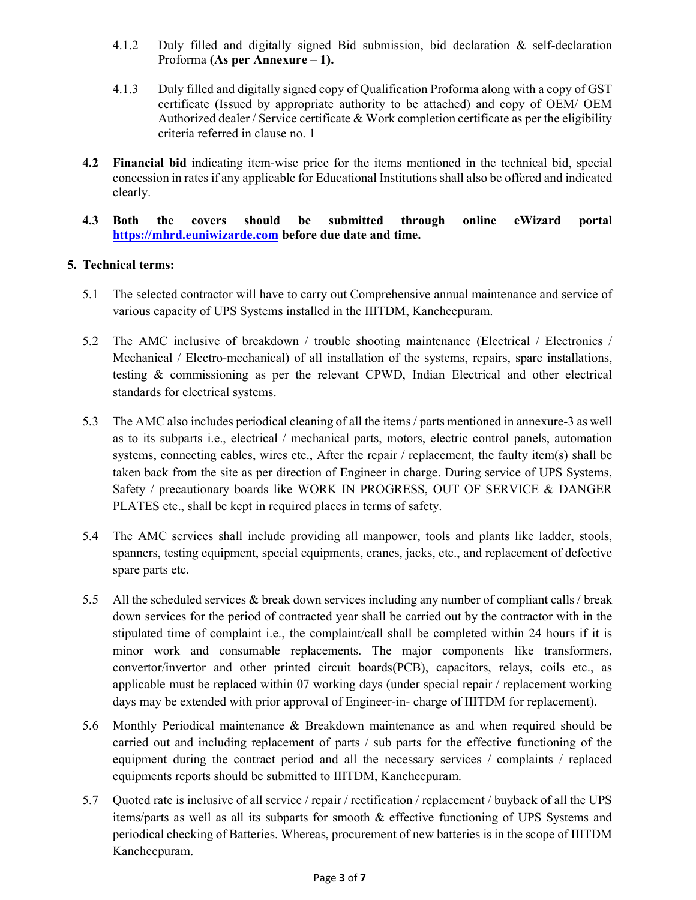- 4.1.2 Duly filled and digitally signed Bid submission, bid declaration & self-declaration Proforma (As per Annexure – 1).
- 4.1.3 Duly filled and digitally signed copy of Qualification Proforma along with a copy of GST certificate (Issued by appropriate authority to be attached) and copy of OEM/ OEM Authorized dealer / Service certificate & Work completion certificate as per the eligibility criteria referred in clause no. 1
- 4.2 Financial bid indicating item-wise price for the items mentioned in the technical bid, special concession in rates if any applicable for Educational Institutions shall also be offered and indicated clearly.
- 4.3 Both the covers should be submitted through online eWizard portal https://mhrd.euniwizarde.com before due date and time.

### 5. Technical terms:

- 5.1 The selected contractor will have to carry out Comprehensive annual maintenance and service of various capacity of UPS Systems installed in the IIITDM, Kancheepuram.
- 5.2 The AMC inclusive of breakdown / trouble shooting maintenance (Electrical / Electronics / Mechanical / Electro-mechanical) of all installation of the systems, repairs, spare installations, testing & commissioning as per the relevant CPWD, Indian Electrical and other electrical standards for electrical systems.
- 5.3 The AMC also includes periodical cleaning of all the items / parts mentioned in annexure-3 as well as to its subparts i.e., electrical / mechanical parts, motors, electric control panels, automation systems, connecting cables, wires etc., After the repair / replacement, the faulty item(s) shall be taken back from the site as per direction of Engineer in charge. During service of UPS Systems, Safety / precautionary boards like WORK IN PROGRESS, OUT OF SERVICE & DANGER PLATES etc., shall be kept in required places in terms of safety.
- 5.4 The AMC services shall include providing all manpower, tools and plants like ladder, stools, spanners, testing equipment, special equipments, cranes, jacks, etc., and replacement of defective spare parts etc.
- 5.5 All the scheduled services & break down services including any number of compliant calls / break down services for the period of contracted year shall be carried out by the contractor with in the stipulated time of complaint i.e., the complaint/call shall be completed within 24 hours if it is minor work and consumable replacements. The major components like transformers, convertor/invertor and other printed circuit boards(PCB), capacitors, relays, coils etc., as applicable must be replaced within 07 working days (under special repair / replacement working days may be extended with prior approval of Engineer-in- charge of IIITDM for replacement).
- 5.6 Monthly Periodical maintenance & Breakdown maintenance as and when required should be carried out and including replacement of parts / sub parts for the effective functioning of the equipment during the contract period and all the necessary services / complaints / replaced equipments reports should be submitted to IIITDM, Kancheepuram.
- 5.7 Quoted rate is inclusive of all service / repair / rectification / replacement / buyback of all the UPS items/parts as well as all its subparts for smooth & effective functioning of UPS Systems and periodical checking of Batteries. Whereas, procurement of new batteries is in the scope of IIITDM Kancheepuram.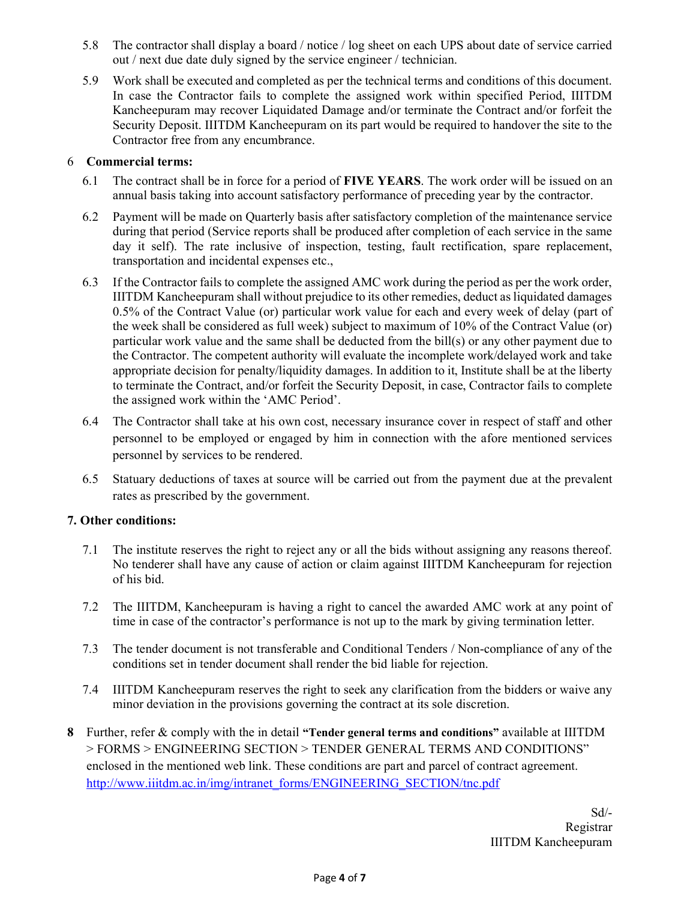- 5.8 The contractor shall display a board / notice / log sheet on each UPS about date of service carried out / next due date duly signed by the service engineer / technician.
- 5.9 Work shall be executed and completed as per the technical terms and conditions of this document. In case the Contractor fails to complete the assigned work within specified Period, IIITDM Kancheepuram may recover Liquidated Damage and/or terminate the Contract and/or forfeit the Security Deposit. IIITDM Kancheepuram on its part would be required to handover the site to the Contractor free from any encumbrance.

#### 6 Commercial terms:

- 6.1 The contract shall be in force for a period of FIVE YEARS. The work order will be issued on an annual basis taking into account satisfactory performance of preceding year by the contractor.
- 6.2 Payment will be made on Quarterly basis after satisfactory completion of the maintenance service during that period (Service reports shall be produced after completion of each service in the same day it self). The rate inclusive of inspection, testing, fault rectification, spare replacement, transportation and incidental expenses etc.,
- 6.3 If the Contractor fails to complete the assigned AMC work during the period as per the work order, IIITDM Kancheepuram shall without prejudice to its other remedies, deduct as liquidated damages 0.5% of the Contract Value (or) particular work value for each and every week of delay (part of the week shall be considered as full week) subject to maximum of 10% of the Contract Value (or) particular work value and the same shall be deducted from the bill(s) or any other payment due to the Contractor. The competent authority will evaluate the incomplete work/delayed work and take appropriate decision for penalty/liquidity damages. In addition to it, Institute shall be at the liberty to terminate the Contract, and/or forfeit the Security Deposit, in case, Contractor fails to complete the assigned work within the 'AMC Period'.
- 6.4 The Contractor shall take at his own cost, necessary insurance cover in respect of staff and other personnel to be employed or engaged by him in connection with the afore mentioned services personnel by services to be rendered.
- 6.5 Statuary deductions of taxes at source will be carried out from the payment due at the prevalent rates as prescribed by the government.

### 7. Other conditions:

- 7.1 The institute reserves the right to reject any or all the bids without assigning any reasons thereof. No tenderer shall have any cause of action or claim against IIITDM Kancheepuram for rejection of his bid.
- 7.2 The IIITDM, Kancheepuram is having a right to cancel the awarded AMC work at any point of time in case of the contractor's performance is not up to the mark by giving termination letter.
- 7.3 The tender document is not transferable and Conditional Tenders / Non-compliance of any of the conditions set in tender document shall render the bid liable for rejection.
- 7.4 IIITDM Kancheepuram reserves the right to seek any clarification from the bidders or waive any minor deviation in the provisions governing the contract at its sole discretion.
- 8 Further, refer & comply with the in detail "Tender general terms and conditions" available at IIITDM > FORMS > ENGINEERING SECTION > TENDER GENERAL TERMS AND CONDITIONS" enclosed in the mentioned web link. These conditions are part and parcel of contract agreement. http://www.iiitdm.ac.in/img/intranet\_forms/ENGINEERING\_SECTION/tnc.pdf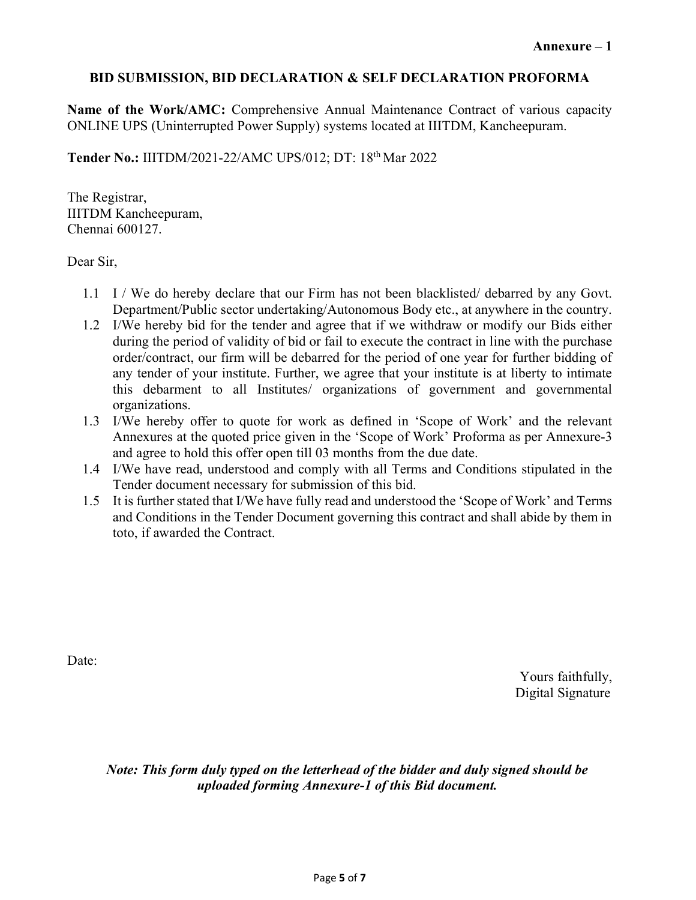## BID SUBMISSION, BID DECLARATION & SELF DECLARATION PROFORMA

Name of the Work/AMC: Comprehensive Annual Maintenance Contract of various capacity ONLINE UPS (Uninterrupted Power Supply) systems located at IIITDM, Kancheepuram.

Tender No.: IIITDM/2021-22/AMC UPS/012; DT: 18th Mar 2022

The Registrar, IIITDM Kancheepuram, Chennai 600127.

Dear Sir,

- 1.1 I / We do hereby declare that our Firm has not been blacklisted/ debarred by any Govt. Department/Public sector undertaking/Autonomous Body etc., at anywhere in the country.
- 1.2 I/We hereby bid for the tender and agree that if we withdraw or modify our Bids either during the period of validity of bid or fail to execute the contract in line with the purchase order/contract, our firm will be debarred for the period of one year for further bidding of any tender of your institute. Further, we agree that your institute is at liberty to intimate this debarment to all Institutes/ organizations of government and governmental organizations.
- 1.3 I/We hereby offer to quote for work as defined in 'Scope of Work' and the relevant Annexures at the quoted price given in the 'Scope of Work' Proforma as per Annexure-3 and agree to hold this offer open till 03 months from the due date.
- 1.4 I/We have read, understood and comply with all Terms and Conditions stipulated in the Tender document necessary for submission of this bid.
- 1.5 It is further stated that I/We have fully read and understood the 'Scope of Work' and Terms and Conditions in the Tender Document governing this contract and shall abide by them in toto, if awarded the Contract.

Date:

Yours faithfully, Digital Signature

Note: This form duly typed on the letterhead of the bidder and duly signed should be uploaded forming Annexure-1 of this Bid document.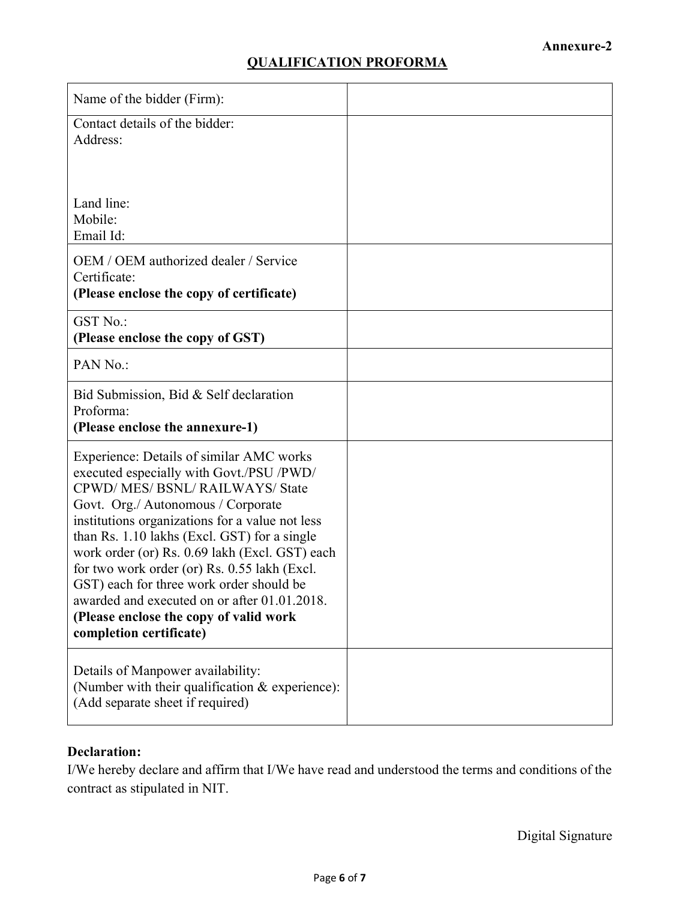# QUALIFICATION PROFORMA

| Name of the bidder (Firm):                                                                                                                                                                                                                                                                                                                                                                                                                                                                                                       |  |
|----------------------------------------------------------------------------------------------------------------------------------------------------------------------------------------------------------------------------------------------------------------------------------------------------------------------------------------------------------------------------------------------------------------------------------------------------------------------------------------------------------------------------------|--|
| Contact details of the bidder:<br>Address:                                                                                                                                                                                                                                                                                                                                                                                                                                                                                       |  |
| Land line:<br>Mobile:<br>Email Id:                                                                                                                                                                                                                                                                                                                                                                                                                                                                                               |  |
| OEM / OEM authorized dealer / Service<br>Certificate:<br>(Please enclose the copy of certificate)                                                                                                                                                                                                                                                                                                                                                                                                                                |  |
| <b>GST No.:</b><br>(Please enclose the copy of GST)                                                                                                                                                                                                                                                                                                                                                                                                                                                                              |  |
| PAN No.:                                                                                                                                                                                                                                                                                                                                                                                                                                                                                                                         |  |
| Bid Submission, Bid & Self declaration<br>Proforma:<br>(Please enclose the annexure-1)                                                                                                                                                                                                                                                                                                                                                                                                                                           |  |
| Experience: Details of similar AMC works<br>executed especially with Govt./PSU /PWD/<br>CPWD/MES/BSNL/RAILWAYS/State<br>Govt. Org./ Autonomous / Corporate<br>institutions organizations for a value not less<br>than Rs. 1.10 lakhs (Excl. GST) for a single<br>work order (or) Rs. 0.69 lakh (Excl. GST) each<br>for two work order (or) Rs. 0.55 lakh (Excl.<br>GST) each for three work order should be<br>awarded and executed on or after 01.01.2018.<br>(Please enclose the copy of valid work<br>completion certificate) |  |
| Details of Manpower availability:<br>(Number with their qualification & experience):<br>(Add separate sheet if required)                                                                                                                                                                                                                                                                                                                                                                                                         |  |

# Declaration:

I/We hereby declare and affirm that I/We have read and understood the terms and conditions of the contract as stipulated in NIT.